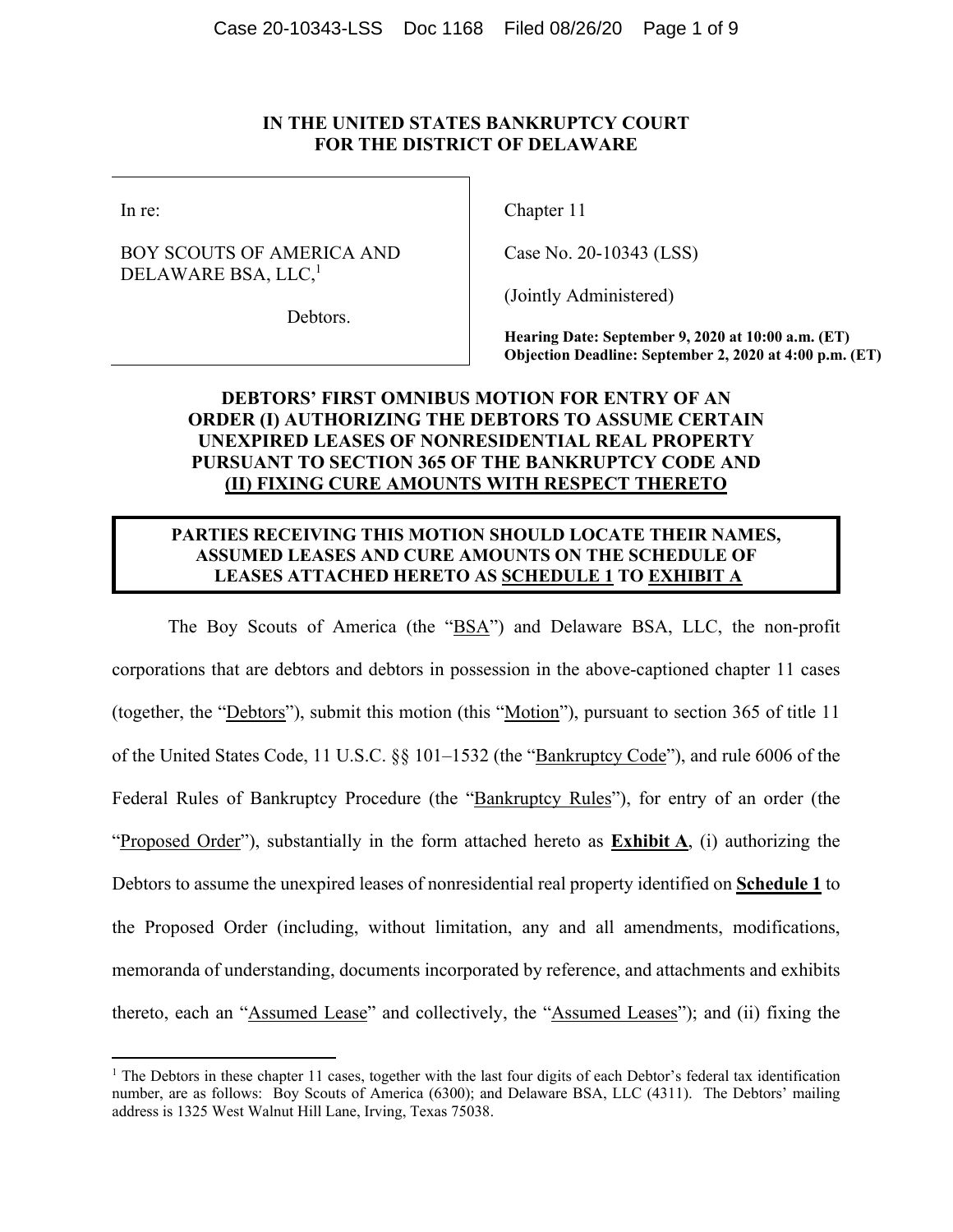## **IN THE UNITED STATES BANKRUPTCY COURT FOR THE DISTRICT OF DELAWARE**

In re:

# BOY SCOUTS OF AMERICA AND DELAWARE BSA, LLC,<sup>1</sup>

Chapter 11

Case No. 20-10343 (LSS)

(Jointly Administered)

Debtors.

**Hearing Date: September 9, 2020 at 10:00 a.m. (ET) Objection Deadline: September 2, 2020 at 4:00 p.m. (ET)**

# **DEBTORS' FIRST OMNIBUS MOTION FOR ENTRY OF AN ORDER (I) AUTHORIZING THE DEBTORS TO ASSUME CERTAIN UNEXPIRED LEASES OF NONRESIDENTIAL REAL PROPERTY PURSUANT TO SECTION 365 OF THE BANKRUPTCY CODE AND (II) FIXING CURE AMOUNTS WITH RESPECT THERETO**

# **PARTIES RECEIVING THIS MOTION SHOULD LOCATE THEIR NAMES, ASSUMED LEASES AND CURE AMOUNTS ON THE SCHEDULE OF LEASES ATTACHED HERETO AS SCHEDULE 1 TO EXHIBIT A**

The Boy Scouts of America (the "BSA") and Delaware BSA, LLC, the non-profit corporations that are debtors and debtors in possession in the above-captioned chapter 11 cases (together, the "Debtors"), submit this motion (this "Motion"), pursuant to section 365 of title 11 of the United States Code, 11 U.S.C. §§ 101–1532 (the "Bankruptcy Code"), and rule 6006 of the Federal Rules of Bankruptcy Procedure (the "Bankruptcy Rules"), for entry of an order (the "Proposed Order"), substantially in the form attached hereto as **Exhibit A**, (i) authorizing the Debtors to assume the unexpired leases of nonresidential real property identified on **Schedule 1** to the Proposed Order (including, without limitation, any and all amendments, modifications, memoranda of understanding, documents incorporated by reference, and attachments and exhibits thereto, each an "Assumed Lease" and collectively, the "Assumed Leases"); and (ii) fixing the

<sup>&</sup>lt;sup>1</sup> The Debtors in these chapter 11 cases, together with the last four digits of each Debtor's federal tax identification number, are as follows: Boy Scouts of America (6300); and Delaware BSA, LLC (4311). The Debtors' mailing address is 1325 West Walnut Hill Lane, Irving, Texas 75038.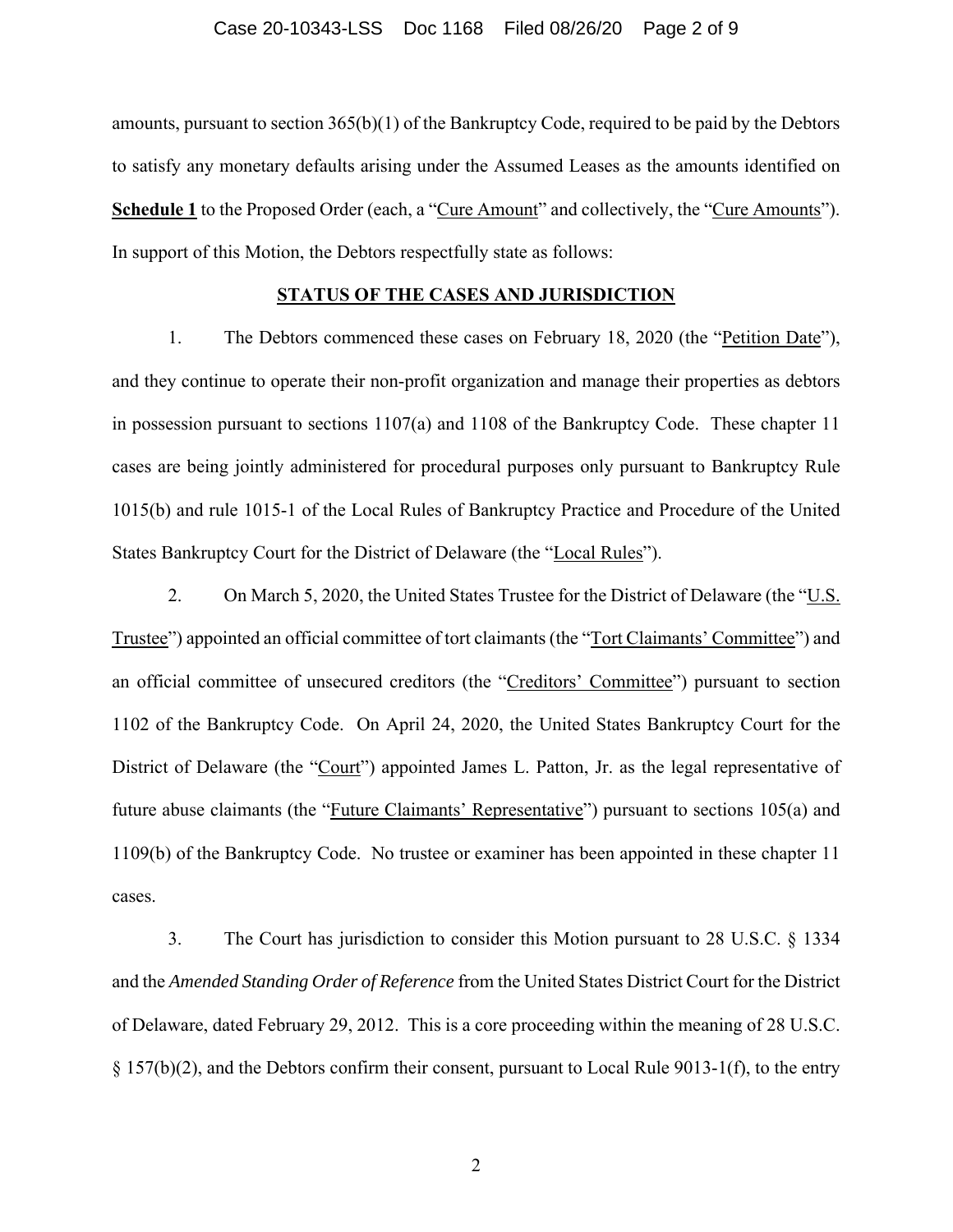#### Case 20-10343-LSS Doc 1168 Filed 08/26/20 Page 2 of 9

amounts, pursuant to section 365(b)(1) of the Bankruptcy Code, required to be paid by the Debtors to satisfy any monetary defaults arising under the Assumed Leases as the amounts identified on **Schedule 1** to the Proposed Order (each, a "Cure Amount" and collectively, the "Cure Amounts"). In support of this Motion, the Debtors respectfully state as follows:

#### **STATUS OF THE CASES AND JURISDICTION**

1. The Debtors commenced these cases on February 18, 2020 (the "Petition Date"), and they continue to operate their non-profit organization and manage their properties as debtors in possession pursuant to sections 1107(a) and 1108 of the Bankruptcy Code. These chapter 11 cases are being jointly administered for procedural purposes only pursuant to Bankruptcy Rule 1015(b) and rule 1015-1 of the Local Rules of Bankruptcy Practice and Procedure of the United States Bankruptcy Court for the District of Delaware (the "Local Rules").

2. On March 5, 2020, the United States Trustee for the District of Delaware (the "U.S. Trustee") appointed an official committee of tort claimants (the "Tort Claimants' Committee") and an official committee of unsecured creditors (the "Creditors' Committee") pursuant to section 1102 of the Bankruptcy Code. On April 24, 2020, the United States Bankruptcy Court for the District of Delaware (the "Court") appointed James L. Patton, Jr. as the legal representative of future abuse claimants (the "Future Claimants' Representative") pursuant to sections 105(a) and 1109(b) of the Bankruptcy Code. No trustee or examiner has been appointed in these chapter 11 cases.

3. The Court has jurisdiction to consider this Motion pursuant to 28 U.S.C. § 1334 and the *Amended Standing Order of Reference* from the United States District Court for the District of Delaware, dated February 29, 2012. This is a core proceeding within the meaning of 28 U.S.C.  $\S 157(b)(2)$ , and the Debtors confirm their consent, pursuant to Local Rule 9013-1(f), to the entry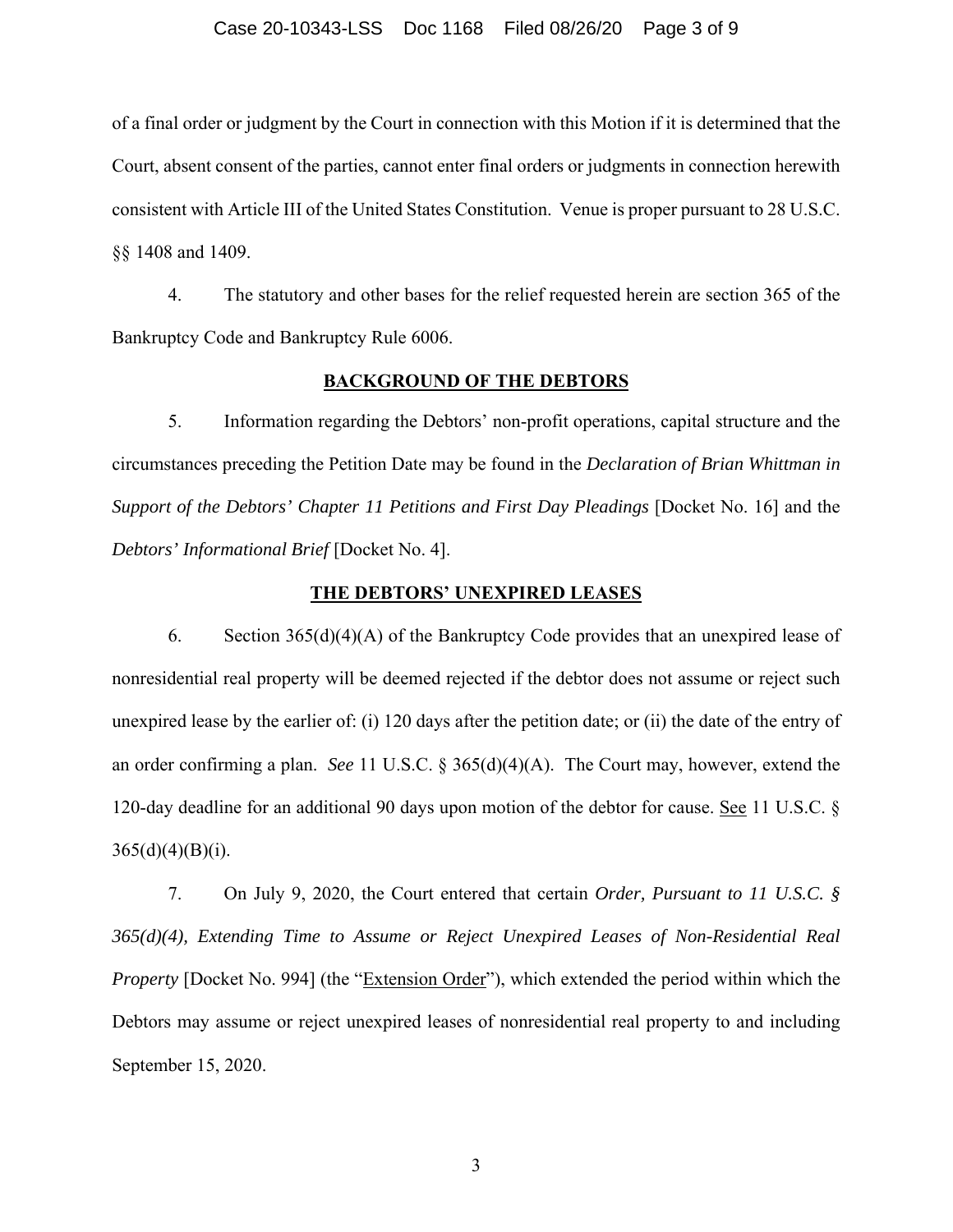#### Case 20-10343-LSS Doc 1168 Filed 08/26/20 Page 3 of 9

of a final order or judgment by the Court in connection with this Motion if it is determined that the Court, absent consent of the parties, cannot enter final orders or judgments in connection herewith consistent with Article III of the United States Constitution. Venue is proper pursuant to 28 U.S.C. §§ 1408 and 1409.

4. The statutory and other bases for the relief requested herein are section 365 of the Bankruptcy Code and Bankruptcy Rule 6006.

## **BACKGROUND OF THE DEBTORS**

5. Information regarding the Debtors' non-profit operations, capital structure and the circumstances preceding the Petition Date may be found in the *Declaration of Brian Whittman in Support of the Debtors' Chapter 11 Petitions and First Day Pleadings [Docket No. 16] and the Debtors' Informational Brief* [Docket No. 4].

#### **THE DEBTORS' UNEXPIRED LEASES**

6. Section 365(d)(4)(A) of the Bankruptcy Code provides that an unexpired lease of nonresidential real property will be deemed rejected if the debtor does not assume or reject such unexpired lease by the earlier of: (i) 120 days after the petition date; or (ii) the date of the entry of an order confirming a plan. *See* 11 U.S.C. § 365(d)(4)(A). The Court may, however, extend the 120-day deadline for an additional 90 days upon motion of the debtor for cause. See 11 U.S.C. §  $365(d)(4)(B)(i)$ .

7. On July 9, 2020, the Court entered that certain *Order, Pursuant to 11 U.S.C. § 365(d)(4), Extending Time to Assume or Reject Unexpired Leases of Non-Residential Real Property* [Docket No. 994] (the "Extension Order"), which extended the period within which the Debtors may assume or reject unexpired leases of nonresidential real property to and including September 15, 2020.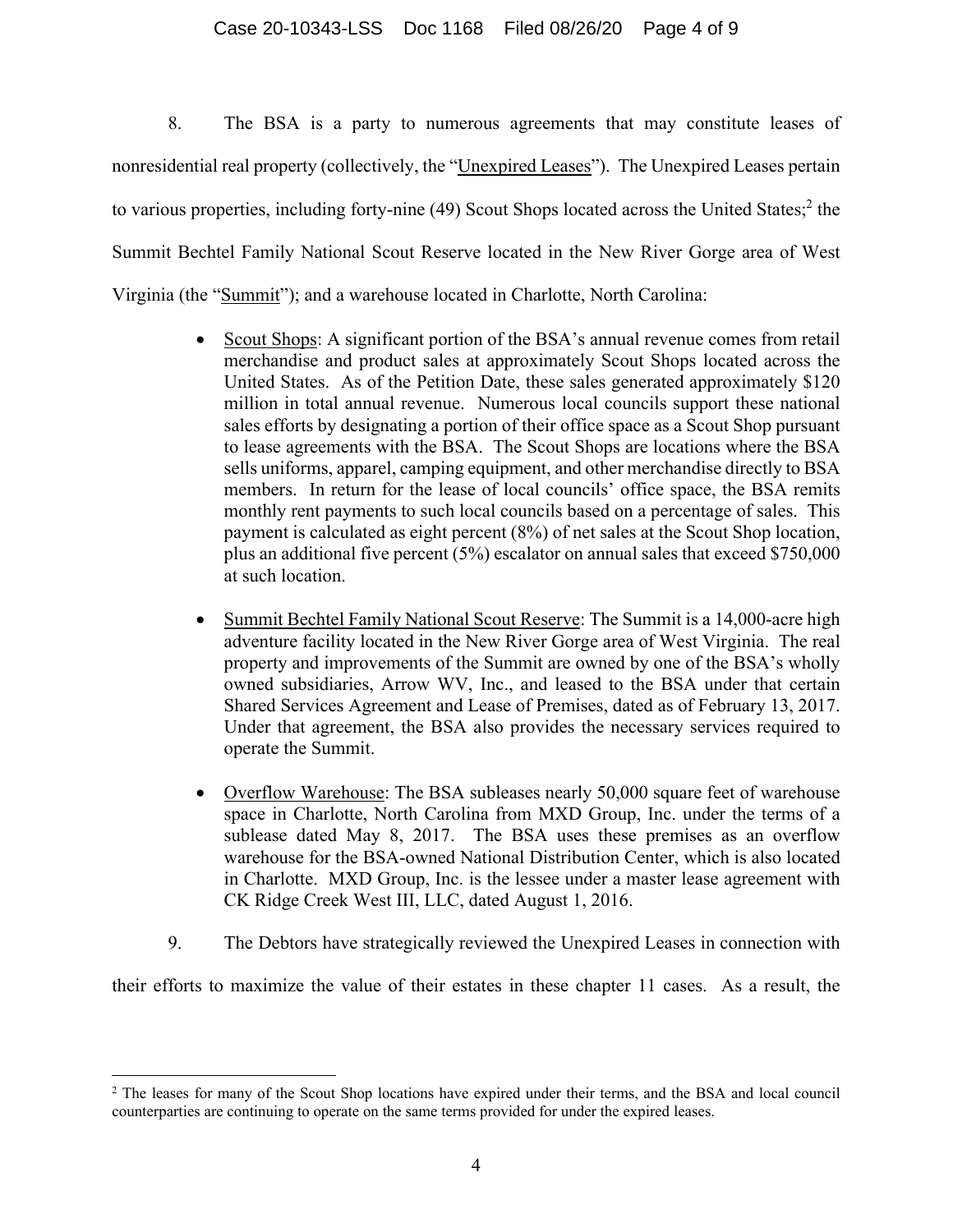## Case 20-10343-LSS Doc 1168 Filed 08/26/20 Page 4 of 9

8. The BSA is a party to numerous agreements that may constitute leases of nonresidential real property (collectively, the "Unexpired Leases"). The Unexpired Leases pertain to various properties, including forty-nine (49) Scout Shops located across the United States;<sup>2</sup> the Summit Bechtel Family National Scout Reserve located in the New River Gorge area of West Virginia (the "Summit"); and a warehouse located in Charlotte, North Carolina:

- Scout Shops: A significant portion of the BSA's annual revenue comes from retail merchandise and product sales at approximately Scout Shops located across the United States. As of the Petition Date, these sales generated approximately \$120 million in total annual revenue. Numerous local councils support these national sales efforts by designating a portion of their office space as a Scout Shop pursuant to lease agreements with the BSA. The Scout Shops are locations where the BSA sells uniforms, apparel, camping equipment, and other merchandise directly to BSA members. In return for the lease of local councils' office space, the BSA remits monthly rent payments to such local councils based on a percentage of sales. This payment is calculated as eight percent (8%) of net sales at the Scout Shop location, plus an additional five percent (5%) escalator on annual sales that exceed \$750,000 at such location.
- Summit Bechtel Family National Scout Reserve: The Summit is a 14,000-acre high adventure facility located in the New River Gorge area of West Virginia. The real property and improvements of the Summit are owned by one of the BSA's wholly owned subsidiaries, Arrow WV, Inc., and leased to the BSA under that certain Shared Services Agreement and Lease of Premises, dated as of February 13, 2017. Under that agreement, the BSA also provides the necessary services required to operate the Summit.
- Overflow Warehouse: The BSA subleases nearly 50,000 square feet of warehouse space in Charlotte, North Carolina from MXD Group, Inc. under the terms of a sublease dated May 8, 2017. The BSA uses these premises as an overflow warehouse for the BSA-owned National Distribution Center, which is also located in Charlotte. MXD Group, Inc. is the lessee under a master lease agreement with CK Ridge Creek West III, LLC, dated August 1, 2016.
- 9. The Debtors have strategically reviewed the Unexpired Leases in connection with

their efforts to maximize the value of their estates in these chapter 11 cases. As a result, the

<sup>&</sup>lt;sup>2</sup> The leases for many of the Scout Shop locations have expired under their terms, and the BSA and local council counterparties are continuing to operate on the same terms provided for under the expired leases.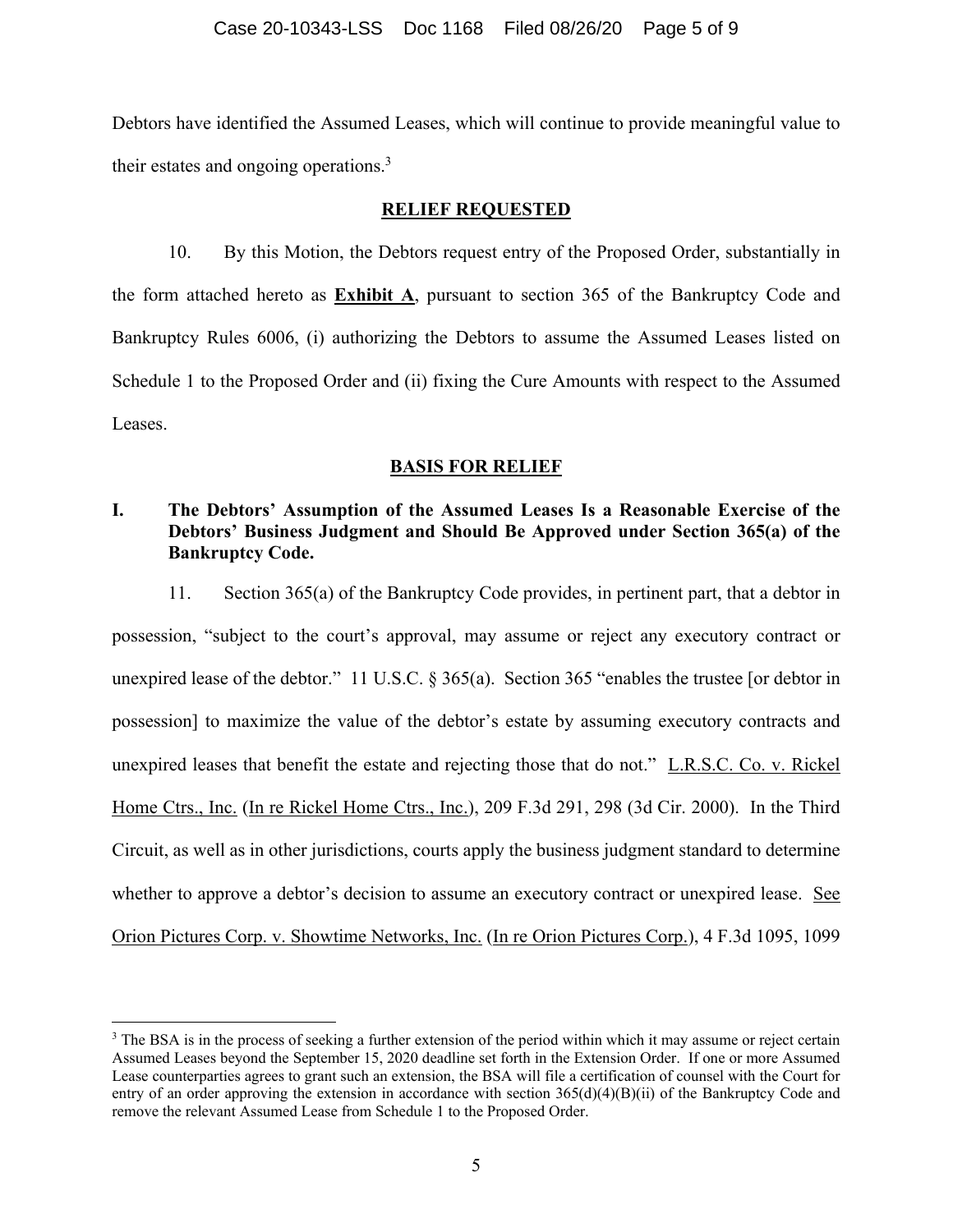Debtors have identified the Assumed Leases, which will continue to provide meaningful value to their estates and ongoing operations. $3$ 

## **RELIEF REQUESTED**

10. By this Motion, the Debtors request entry of the Proposed Order, substantially in the form attached hereto as **Exhibit A**, pursuant to section 365 of the Bankruptcy Code and Bankruptcy Rules 6006, (i) authorizing the Debtors to assume the Assumed Leases listed on Schedule 1 to the Proposed Order and (ii) fixing the Cure Amounts with respect to the Assumed Leases.

# **BASIS FOR RELIEF**

# **I. The Debtors' Assumption of the Assumed Leases Is a Reasonable Exercise of the Debtors' Business Judgment and Should Be Approved under Section 365(a) of the Bankruptcy Code.**

11. Section 365(a) of the Bankruptcy Code provides, in pertinent part, that a debtor in possession, "subject to the court's approval, may assume or reject any executory contract or unexpired lease of the debtor." 11 U.S.C. § 365(a). Section 365 "enables the trustee [or debtor in possession] to maximize the value of the debtor's estate by assuming executory contracts and unexpired leases that benefit the estate and rejecting those that do not." L.R.S.C. Co. v. Rickel Home Ctrs., Inc. (In re Rickel Home Ctrs., Inc.), 209 F.3d 291, 298 (3d Cir. 2000). In the Third Circuit, as well as in other jurisdictions, courts apply the business judgment standard to determine whether to approve a debtor's decision to assume an executory contract or unexpired lease. See Orion Pictures Corp. v. Showtime Networks, Inc. (In re Orion Pictures Corp.), 4 F.3d 1095, 1099

<sup>&</sup>lt;sup>3</sup> The BSA is in the process of seeking a further extension of the period within which it may assume or reject certain Assumed Leases beyond the September 15, 2020 deadline set forth in the Extension Order. If one or more Assumed Lease counterparties agrees to grant such an extension, the BSA will file a certification of counsel with the Court for entry of an order approving the extension in accordance with section 365(d)(4)(B)(ii) of the Bankruptcy Code and remove the relevant Assumed Lease from Schedule 1 to the Proposed Order.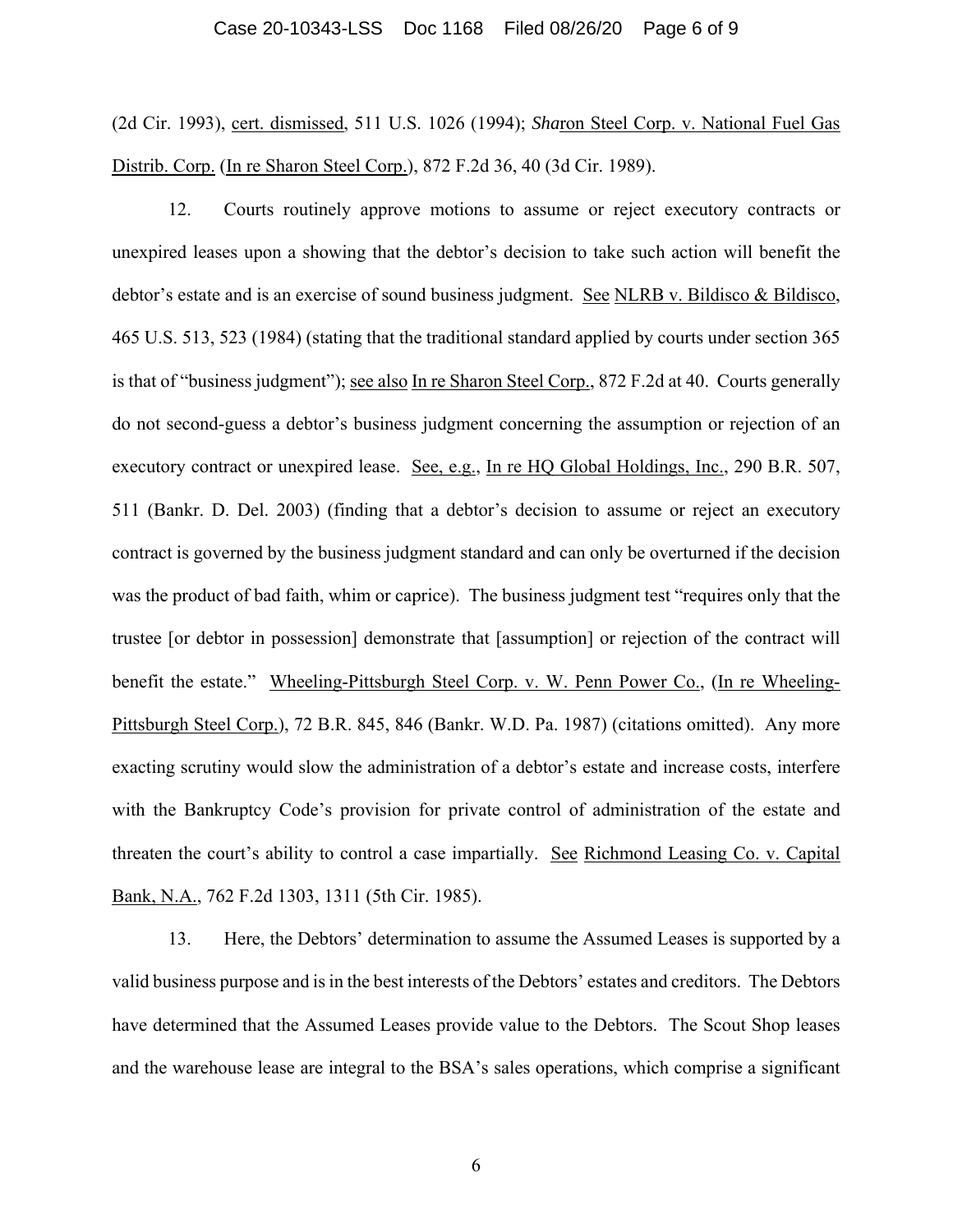#### Case 20-10343-LSS Doc 1168 Filed 08/26/20 Page 6 of 9

(2d Cir. 1993), cert. dismissed, 511 U.S. 1026 (1994); *Sha*ron Steel Corp. v. National Fuel Gas Distrib. Corp. (In re Sharon Steel Corp.), 872 F.2d 36, 40 (3d Cir. 1989).

12. Courts routinely approve motions to assume or reject executory contracts or unexpired leases upon a showing that the debtor's decision to take such action will benefit the debtor's estate and is an exercise of sound business judgment. See NLRB v. Bildisco & Bildisco, 465 U.S. 513, 523 (1984) (stating that the traditional standard applied by courts under section 365 is that of "business judgment"); see also In re Sharon Steel Corp., 872 F.2d at 40. Courts generally do not second-guess a debtor's business judgment concerning the assumption or rejection of an executory contract or unexpired lease. See, e.g., In re HQ Global Holdings, Inc., 290 B.R. 507, 511 (Bankr. D. Del. 2003) (finding that a debtor's decision to assume or reject an executory contract is governed by the business judgment standard and can only be overturned if the decision was the product of bad faith, whim or caprice). The business judgment test "requires only that the trustee [or debtor in possession] demonstrate that [assumption] or rejection of the contract will benefit the estate." Wheeling-Pittsburgh Steel Corp. v. W. Penn Power Co., (In re Wheeling-Pittsburgh Steel Corp.), 72 B.R. 845, 846 (Bankr. W.D. Pa. 1987) (citations omitted). Any more exacting scrutiny would slow the administration of a debtor's estate and increase costs, interfere with the Bankruptcy Code's provision for private control of administration of the estate and threaten the court's ability to control a case impartially. See Richmond Leasing Co. v. Capital Bank, N.A., 762 F.2d 1303, 1311 (5th Cir. 1985).

13. Here, the Debtors' determination to assume the Assumed Leases is supported by a valid business purpose and is in the best interests of the Debtors' estates and creditors. The Debtors have determined that the Assumed Leases provide value to the Debtors. The Scout Shop leases and the warehouse lease are integral to the BSA's sales operations, which comprise a significant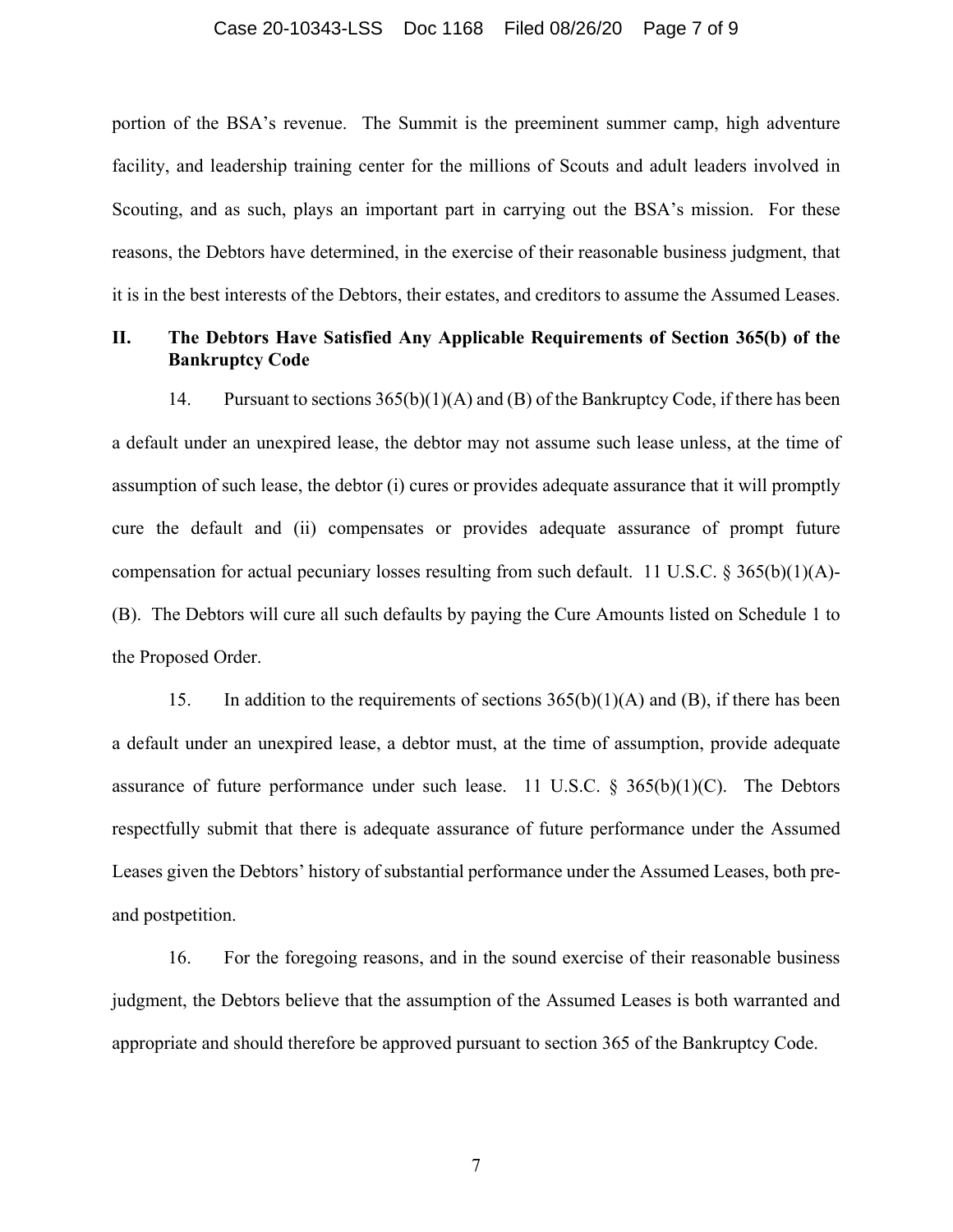#### Case 20-10343-LSS Doc 1168 Filed 08/26/20 Page 7 of 9

portion of the BSA's revenue. The Summit is the preeminent summer camp, high adventure facility, and leadership training center for the millions of Scouts and adult leaders involved in Scouting, and as such, plays an important part in carrying out the BSA's mission. For these reasons, the Debtors have determined, in the exercise of their reasonable business judgment, that it is in the best interests of the Debtors, their estates, and creditors to assume the Assumed Leases.

## **II. The Debtors Have Satisfied Any Applicable Requirements of Section 365(b) of the Bankruptcy Code**

14. Pursuant to sections 365(b)(1)(A) and (B) of the Bankruptcy Code, if there has been a default under an unexpired lease, the debtor may not assume such lease unless, at the time of assumption of such lease, the debtor (i) cures or provides adequate assurance that it will promptly cure the default and (ii) compensates or provides adequate assurance of prompt future compensation for actual pecuniary losses resulting from such default. 11 U.S.C. § 365(b)(1)(A)- (B). The Debtors will cure all such defaults by paying the Cure Amounts listed on Schedule 1 to the Proposed Order.

15. In addition to the requirements of sections  $365(b)(1)(A)$  and (B), if there has been a default under an unexpired lease, a debtor must, at the time of assumption, provide adequate assurance of future performance under such lease. 11 U.S.C.  $\S$  365(b)(1)(C). The Debtors respectfully submit that there is adequate assurance of future performance under the Assumed Leases given the Debtors' history of substantial performance under the Assumed Leases, both preand postpetition.

16. For the foregoing reasons, and in the sound exercise of their reasonable business judgment, the Debtors believe that the assumption of the Assumed Leases is both warranted and appropriate and should therefore be approved pursuant to section 365 of the Bankruptcy Code.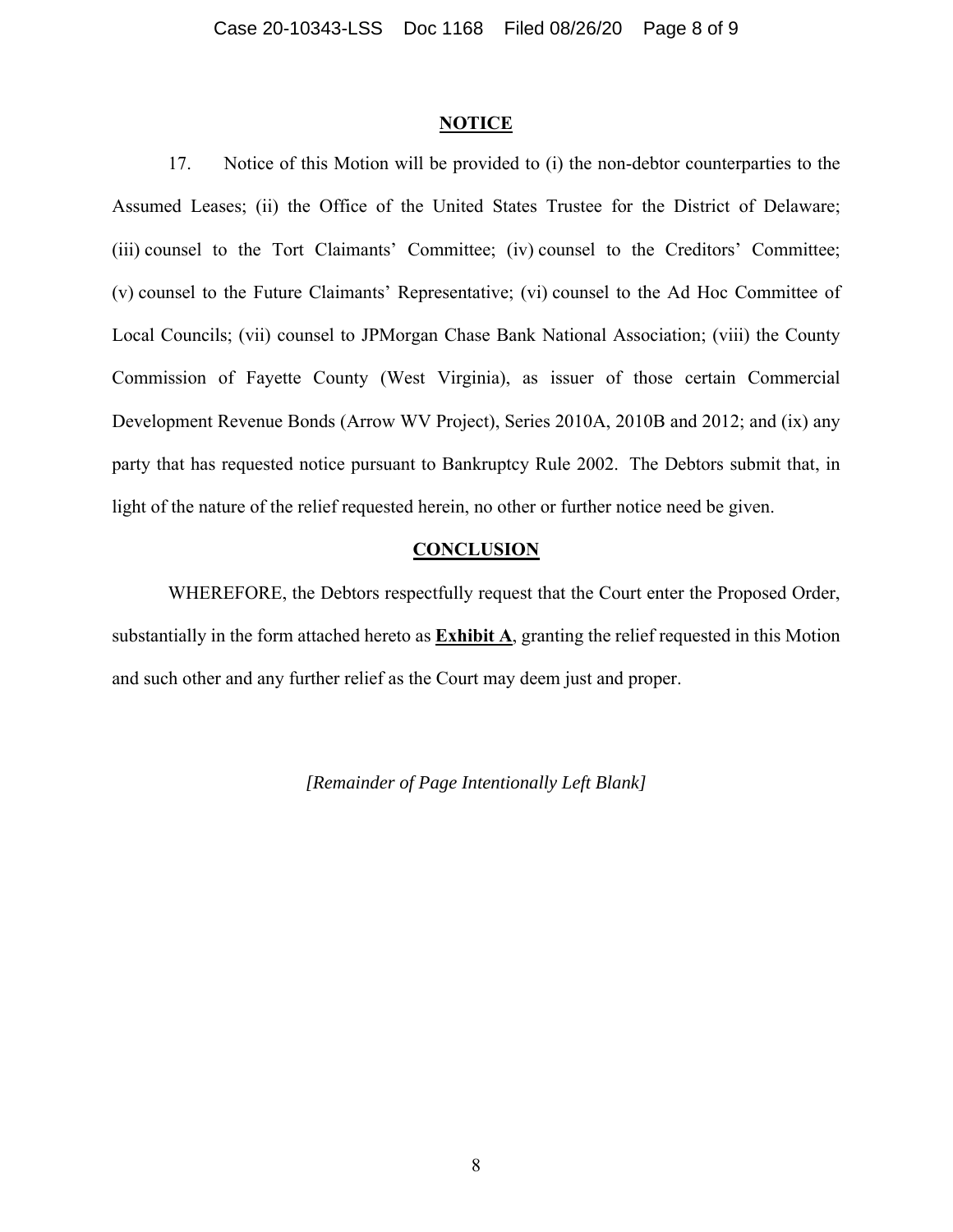#### **NOTICE**

17. Notice of this Motion will be provided to (i) the non-debtor counterparties to the Assumed Leases; (ii) the Office of the United States Trustee for the District of Delaware; (iii) counsel to the Tort Claimants' Committee; (iv) counsel to the Creditors' Committee; (v) counsel to the Future Claimants' Representative; (vi) counsel to the Ad Hoc Committee of Local Councils; (vii) counsel to JPMorgan Chase Bank National Association; (viii) the County Commission of Fayette County (West Virginia), as issuer of those certain Commercial Development Revenue Bonds (Arrow WV Project), Series 2010A, 2010B and 2012; and (ix) any party that has requested notice pursuant to Bankruptcy Rule 2002. The Debtors submit that, in light of the nature of the relief requested herein, no other or further notice need be given.

## **CONCLUSION**

WHEREFORE, the Debtors respectfully request that the Court enter the Proposed Order, substantially in the form attached hereto as **Exhibit A**, granting the relief requested in this Motion and such other and any further relief as the Court may deem just and proper.

*[Remainder of Page Intentionally Left Blank]*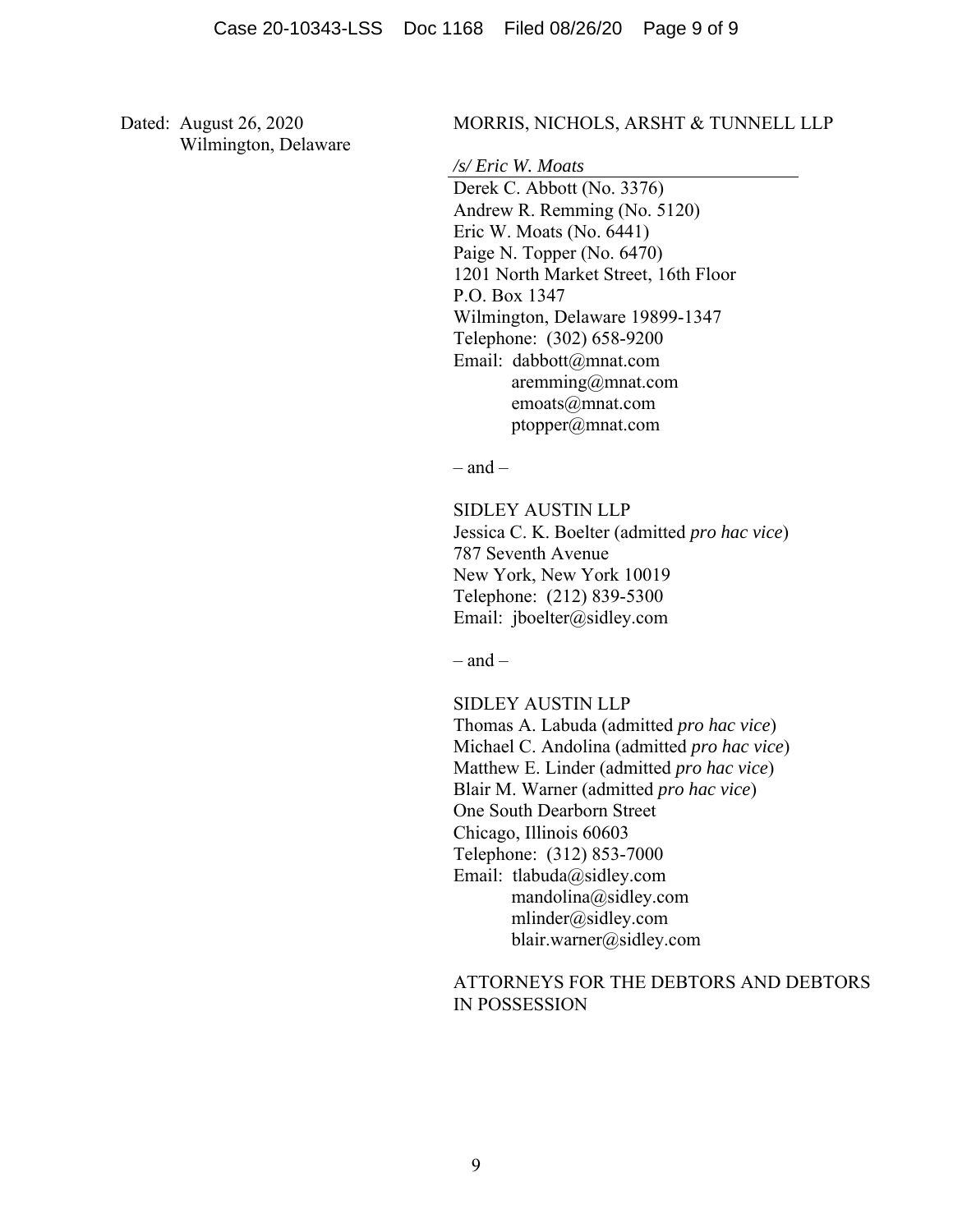Dated: August 26, 2020 Wilmington, Delaware

#### MORRIS, NICHOLS, ARSHT & TUNNELL LLP

*/s/ Eric W. Moats*

Derek C. Abbott (No. 3376) Andrew R. Remming (No. 5120) Eric W. Moats (No. 6441) Paige N. Topper (No. 6470) 1201 North Market Street, 16th Floor P.O. Box 1347 Wilmington, Delaware 19899-1347 Telephone: (302) 658-9200 Email: dabbott@mnat.com aremming@mnat.com emoats@mnat.com ptopper@mnat.com

 $-$  and  $-$ 

SIDLEY AUSTIN LLP Jessica C. K. Boelter (admitted *pro hac vice*) 787 Seventh Avenue New York, New York 10019 Telephone: (212) 839-5300 Email: jboelter@sidley.com

 $-$  and  $-$ 

SIDLEY AUSTIN LLP

Thomas A. Labuda (admitted *pro hac vice*) Michael C. Andolina (admitted *pro hac vice*) Matthew E. Linder (admitted *pro hac vice*) Blair M. Warner (admitted *pro hac vice*) One South Dearborn Street Chicago, Illinois 60603 Telephone: (312) 853-7000 Email: tlabuda@sidley.com mandolina@sidley.com mlinder@sidley.com blair.warner@sidley.com

## ATTORNEYS FOR THE DEBTORS AND DEBTORS IN POSSESSION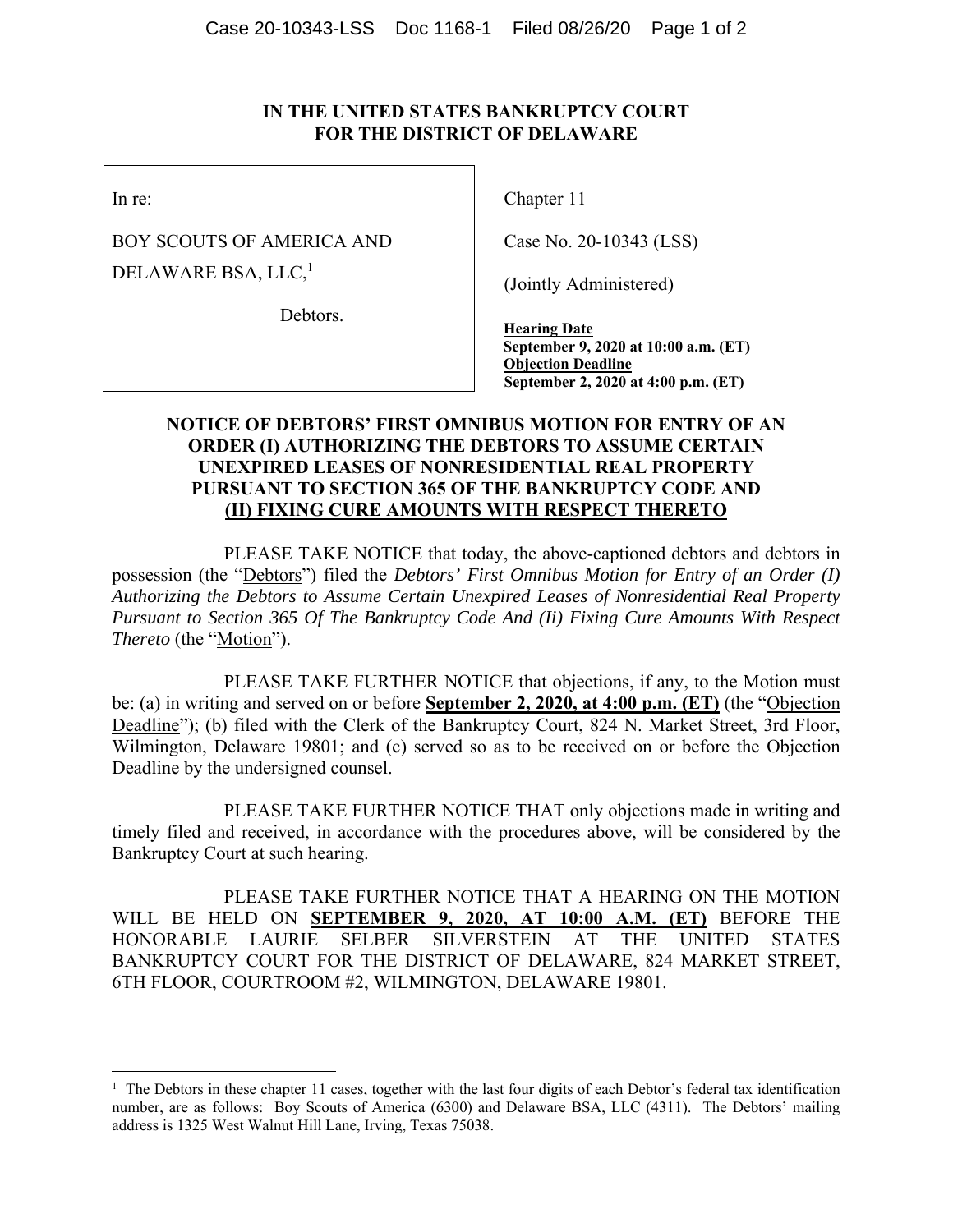# **IN THE UNITED STATES BANKRUPTCY COURT FOR THE DISTRICT OF DELAWARE**

In re:

BOY SCOUTS OF AMERICA AND DELAWARE BSA, LLC,<sup>1</sup>

Debtors.

Chapter 11

Case No. 20-10343 (LSS)

(Jointly Administered)

**Hearing Date September 9, 2020 at 10:00 a.m. (ET) Objection Deadline September 2, 2020 at 4:00 p.m. (ET)**

# **NOTICE OF DEBTORS' FIRST OMNIBUS MOTION FOR ENTRY OF AN ORDER (I) AUTHORIZING THE DEBTORS TO ASSUME CERTAIN UNEXPIRED LEASES OF NONRESIDENTIAL REAL PROPERTY PURSUANT TO SECTION 365 OF THE BANKRUPTCY CODE AND (II) FIXING CURE AMOUNTS WITH RESPECT THERETO**

PLEASE TAKE NOTICE that today, the above-captioned debtors and debtors in possession (the "Debtors") filed the *Debtors' First Omnibus Motion for Entry of an Order (I) Authorizing the Debtors to Assume Certain Unexpired Leases of Nonresidential Real Property Pursuant to Section 365 Of The Bankruptcy Code And (Ii) Fixing Cure Amounts With Respect Thereto* (the "Motion").

 PLEASE TAKE FURTHER NOTICE that objections, if any, to the Motion must be: (a) in writing and served on or before **September 2, 2020, at 4:00 p.m. (ET)** (the "Objection Deadline"); (b) filed with the Clerk of the Bankruptcy Court, 824 N. Market Street, 3rd Floor, Wilmington, Delaware 19801; and (c) served so as to be received on or before the Objection Deadline by the undersigned counsel.

PLEASE TAKE FURTHER NOTICE THAT only objections made in writing and timely filed and received, in accordance with the procedures above, will be considered by the Bankruptcy Court at such hearing.

PLEASE TAKE FURTHER NOTICE THAT A HEARING ON THE MOTION WILL BE HELD ON **SEPTEMBER 9, 2020, AT 10:00 A.M. (ET)** BEFORE THE HONORABLE LAURIE SELBER SILVERSTEIN AT THE UNITED STATES BANKRUPTCY COURT FOR THE DISTRICT OF DELAWARE, 824 MARKET STREET, 6TH FLOOR, COURTROOM #2, WILMINGTON, DELAWARE 19801.

<sup>&</sup>lt;sup>1</sup> The Debtors in these chapter 11 cases, together with the last four digits of each Debtor's federal tax identification number, are as follows: Boy Scouts of America (6300) and Delaware BSA, LLC (4311). The Debtors' mailing address is 1325 West Walnut Hill Lane, Irving, Texas 75038.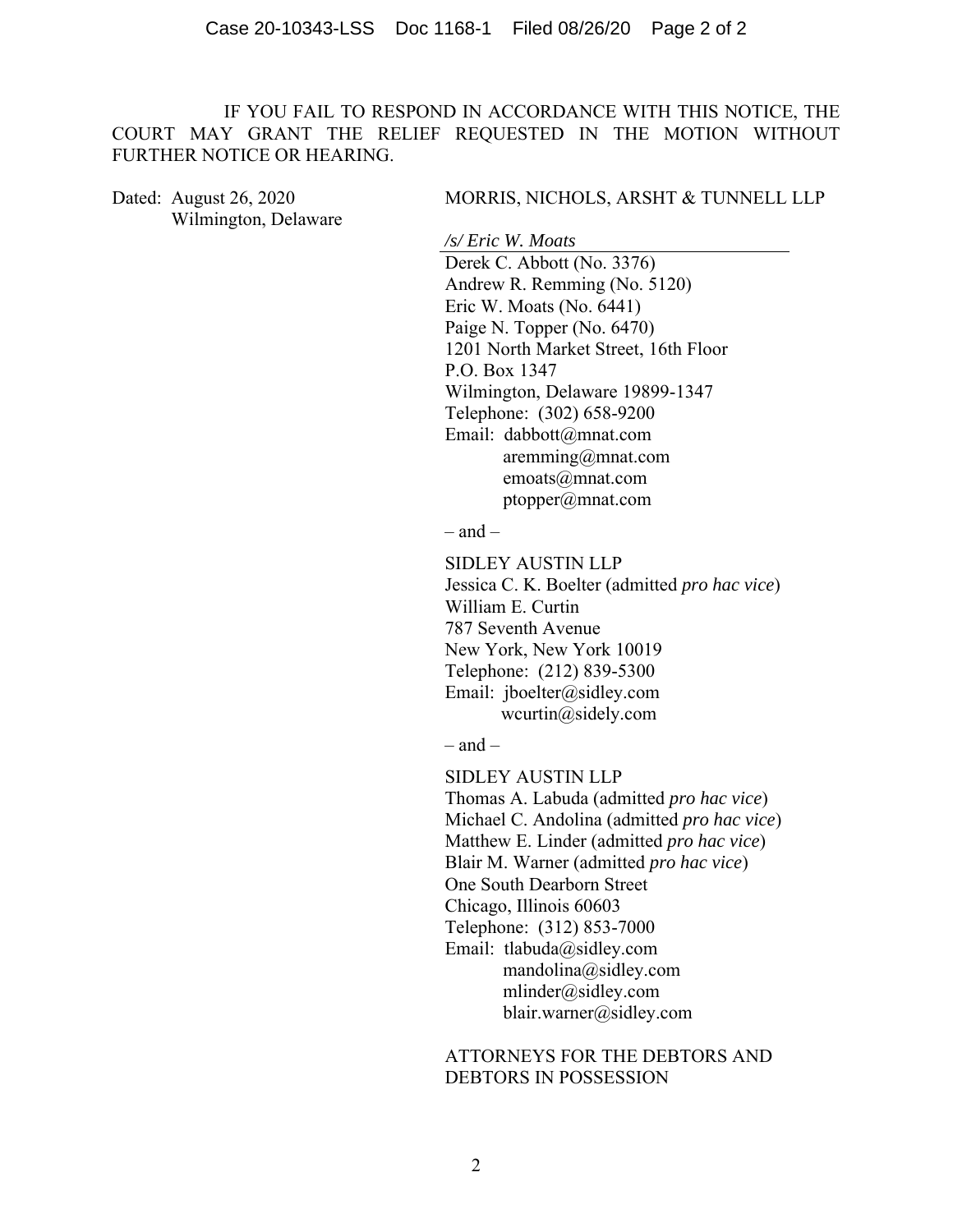IF YOU FAIL TO RESPOND IN ACCORDANCE WITH THIS NOTICE, THE COURT MAY GRANT THE RELIEF REQUESTED IN THE MOTION WITHOUT FURTHER NOTICE OR HEARING.

Dated: August 26, 2020 Wilmington, Delaware

## MORRIS, NICHOLS, ARSHT & TUNNELL LLP

*/s/ Eric W. Moats* Derek C. Abbott (No. 3376) Andrew R. Remming (No. 5120) Eric W. Moats (No. 6441) Paige N. Topper (No. 6470) 1201 North Market Street, 16th Floor P.O. Box 1347 Wilmington, Delaware 19899-1347 Telephone: (302) 658-9200 Email: dabbott@mnat.com aremming@mnat.com emoats@mnat.com ptopper@mnat.com

– and –

SIDLEY AUSTIN LLP Jessica C. K. Boelter (admitted *pro hac vice*) William E. Curtin 787 Seventh Avenue New York, New York 10019 Telephone: (212) 839-5300 Email: jboelter@sidley.com wcurtin@sidely.com

 $-$  and  $-$ 

SIDLEY AUSTIN LLP Thomas A. Labuda (admitted *pro hac vice*) Michael C. Andolina (admitted *pro hac vice*) Matthew E. Linder (admitted *pro hac vice*) Blair M. Warner (admitted *pro hac vice*) One South Dearborn Street Chicago, Illinois 60603 Telephone: (312) 853-7000 Email: tlabuda@sidley.com mandolina@sidley.com mlinder@sidley.com blair.warner@sidley.com

ATTORNEYS FOR THE DEBTORS AND DEBTORS IN POSSESSION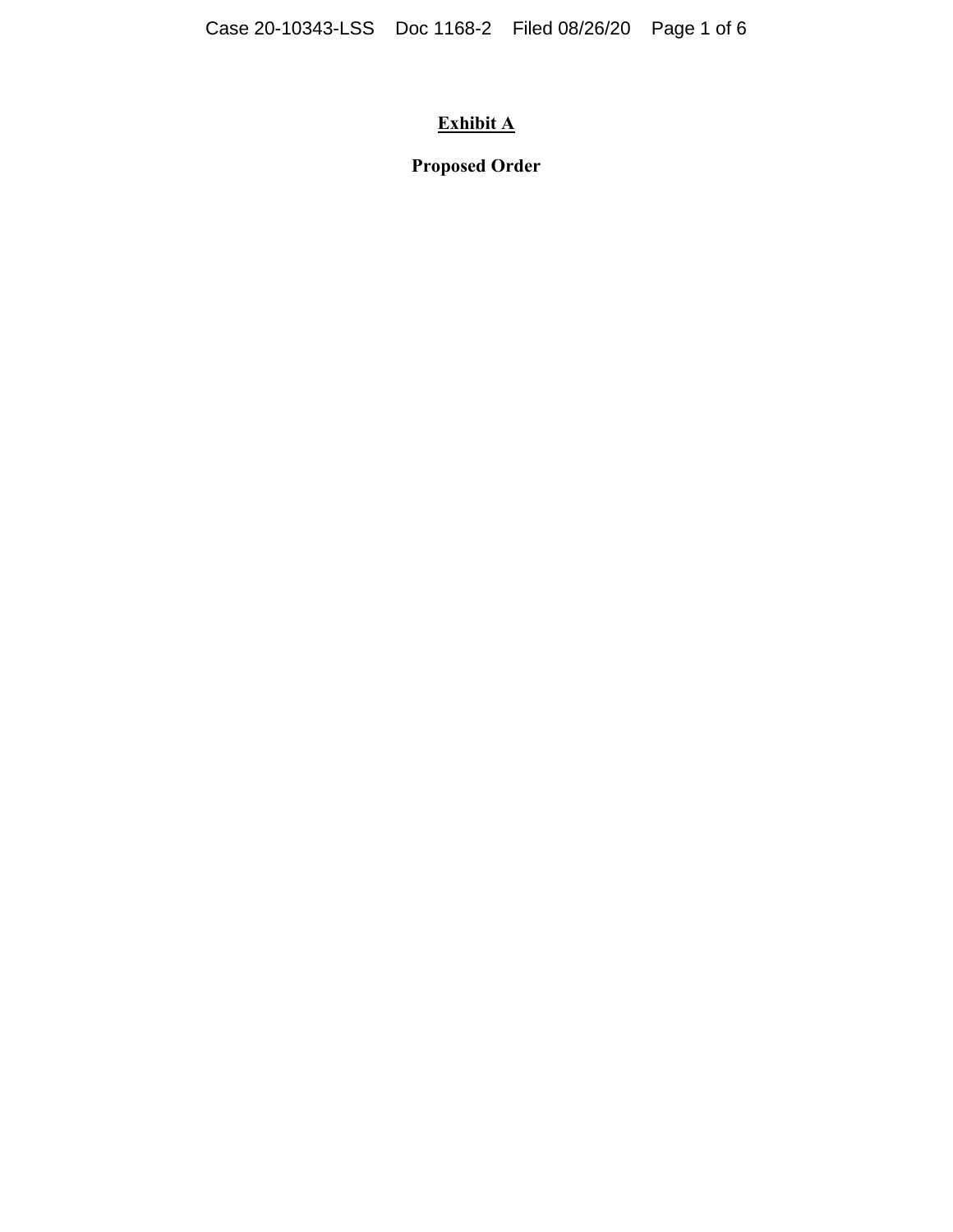# **Exhibit A**

**Proposed Order**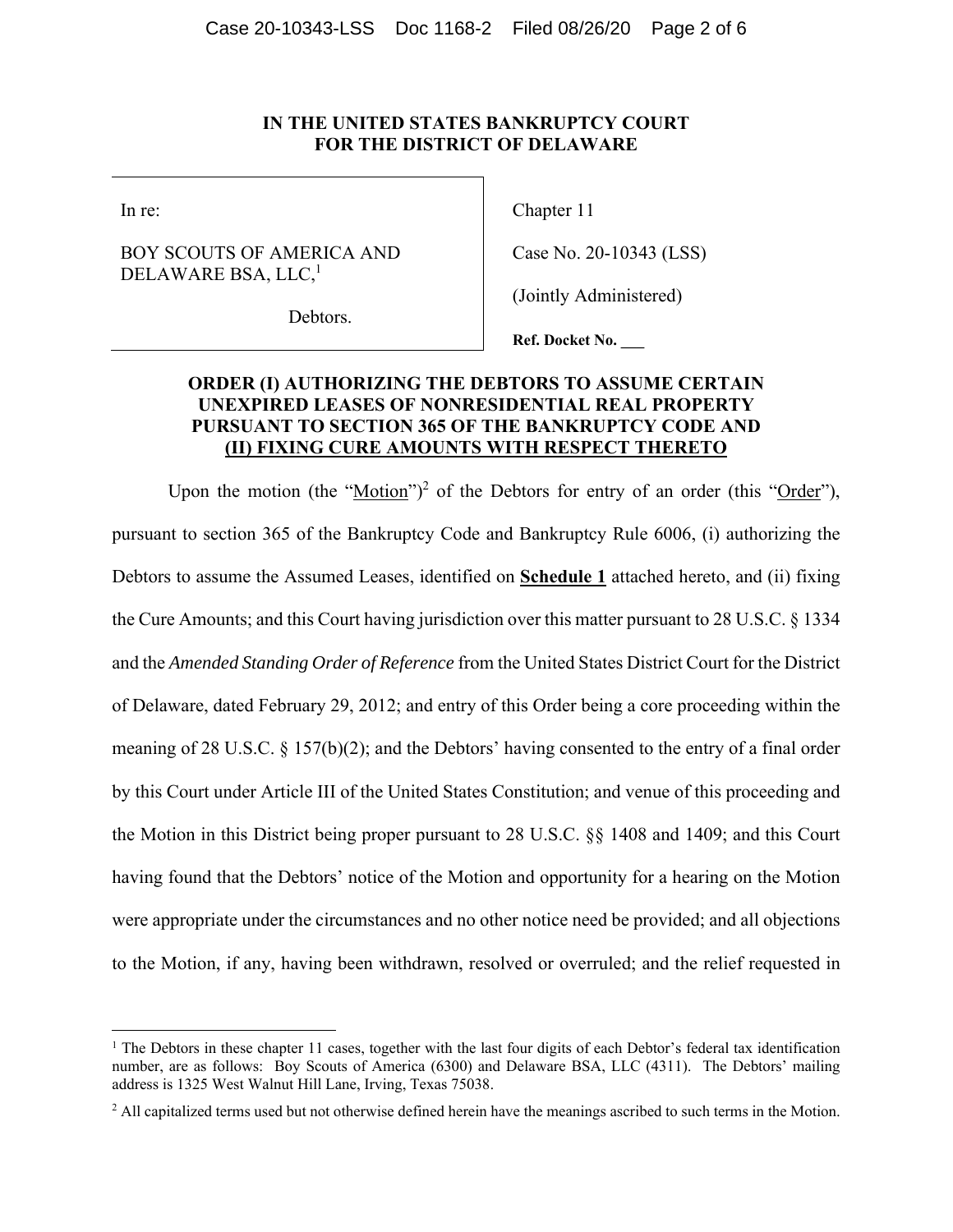## **IN THE UNITED STATES BANKRUPTCY COURT FOR THE DISTRICT OF DELAWARE**

In re:

# BOY SCOUTS OF AMERICA AND DELAWARE BSA, LLC,<sup>1</sup>

Chapter 11

Case No. 20-10343 (LSS)

(Jointly Administered)

Debtors.

**Ref. Docket No. \_\_\_** 

# **ORDER (I) AUTHORIZING THE DEBTORS TO ASSUME CERTAIN UNEXPIRED LEASES OF NONRESIDENTIAL REAL PROPERTY PURSUANT TO SECTION 365 OF THE BANKRUPTCY CODE AND (II) FIXING CURE AMOUNTS WITH RESPECT THERETO**

Upon the motion (the " $Motion$ ")<sup>2</sup> of the Debtors for entry of an order (this " $Order$ "),</u></u> pursuant to section 365 of the Bankruptcy Code and Bankruptcy Rule 6006, (i) authorizing the Debtors to assume the Assumed Leases, identified on **Schedule 1** attached hereto, and (ii) fixing the Cure Amounts; and this Court having jurisdiction over this matter pursuant to 28 U.S.C. § 1334 and the *Amended Standing Order of Reference* from the United States District Court for the District of Delaware, dated February 29, 2012; and entry of this Order being a core proceeding within the meaning of 28 U.S.C.  $\S$  157(b)(2); and the Debtors' having consented to the entry of a final order by this Court under Article III of the United States Constitution; and venue of this proceeding and the Motion in this District being proper pursuant to 28 U.S.C. §§ 1408 and 1409; and this Court having found that the Debtors' notice of the Motion and opportunity for a hearing on the Motion were appropriate under the circumstances and no other notice need be provided; and all objections to the Motion, if any, having been withdrawn, resolved or overruled; and the relief requested in

<sup>&</sup>lt;sup>1</sup> The Debtors in these chapter 11 cases, together with the last four digits of each Debtor's federal tax identification number, are as follows: Boy Scouts of America (6300) and Delaware BSA, LLC (4311). The Debtors' mailing address is 1325 West Walnut Hill Lane, Irving, Texas 75038.

<sup>&</sup>lt;sup>2</sup> All capitalized terms used but not otherwise defined herein have the meanings ascribed to such terms in the Motion.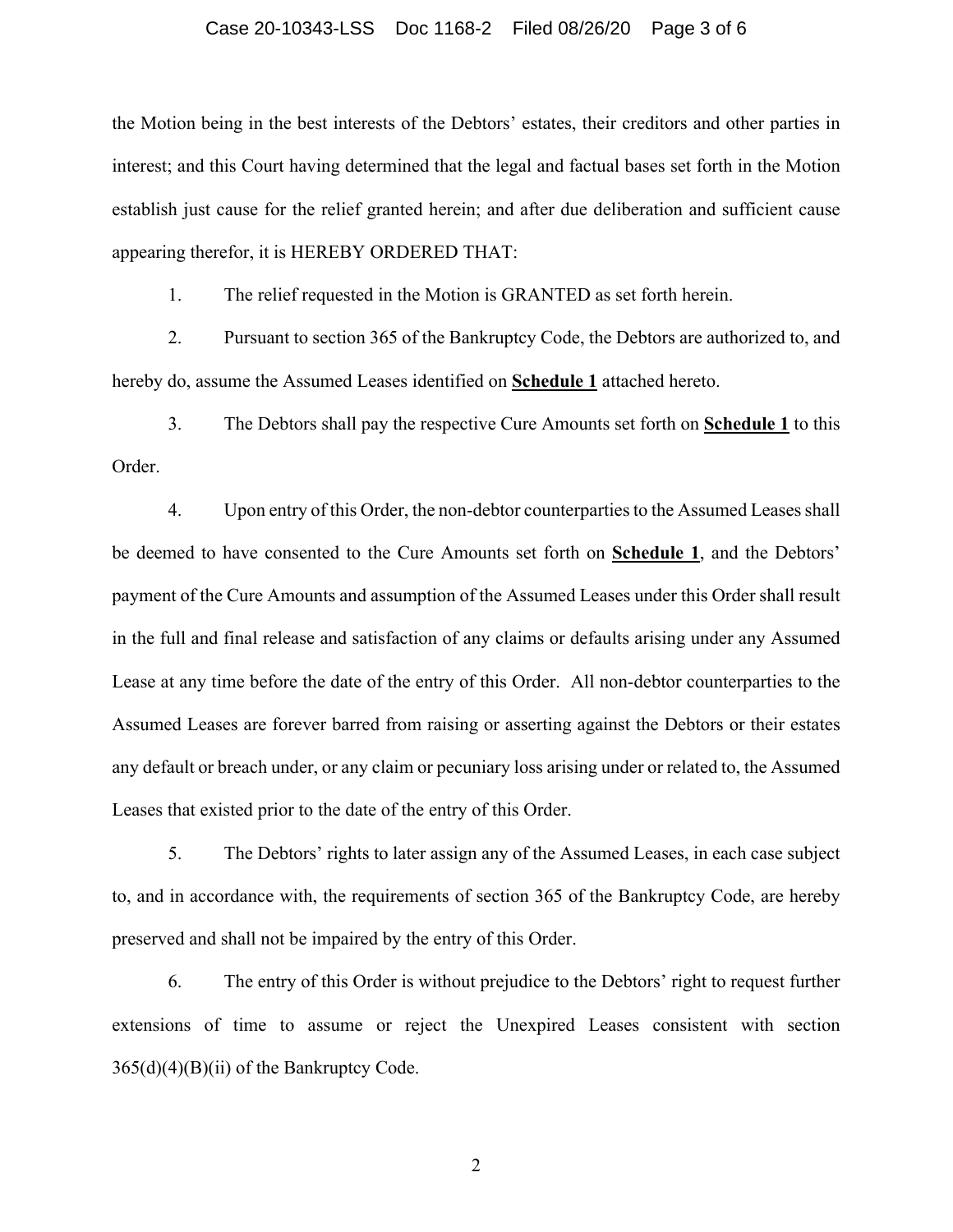#### Case 20-10343-LSS Doc 1168-2 Filed 08/26/20 Page 3 of 6

the Motion being in the best interests of the Debtors' estates, their creditors and other parties in interest; and this Court having determined that the legal and factual bases set forth in the Motion establish just cause for the relief granted herein; and after due deliberation and sufficient cause appearing therefor, it is HEREBY ORDERED THAT:

1. The relief requested in the Motion is GRANTED as set forth herein.

2. Pursuant to section 365 of the Bankruptcy Code, the Debtors are authorized to, and hereby do, assume the Assumed Leases identified on **Schedule 1** attached hereto.

3. The Debtors shall pay the respective Cure Amounts set forth on **Schedule 1** to this Order.

4. Upon entry of this Order, the non-debtor counterparties to the Assumed Leases shall be deemed to have consented to the Cure Amounts set forth on **Schedule 1**, and the Debtors' payment of the Cure Amounts and assumption of the Assumed Leases under this Order shall result in the full and final release and satisfaction of any claims or defaults arising under any Assumed Lease at any time before the date of the entry of this Order. All non-debtor counterparties to the Assumed Leases are forever barred from raising or asserting against the Debtors or their estates any default or breach under, or any claim or pecuniary loss arising under or related to, the Assumed Leases that existed prior to the date of the entry of this Order.

5. The Debtors' rights to later assign any of the Assumed Leases, in each case subject to, and in accordance with, the requirements of section 365 of the Bankruptcy Code, are hereby preserved and shall not be impaired by the entry of this Order.

6. The entry of this Order is without prejudice to the Debtors' right to request further extensions of time to assume or reject the Unexpired Leases consistent with section  $365(d)(4)(B)(ii)$  of the Bankruptcy Code.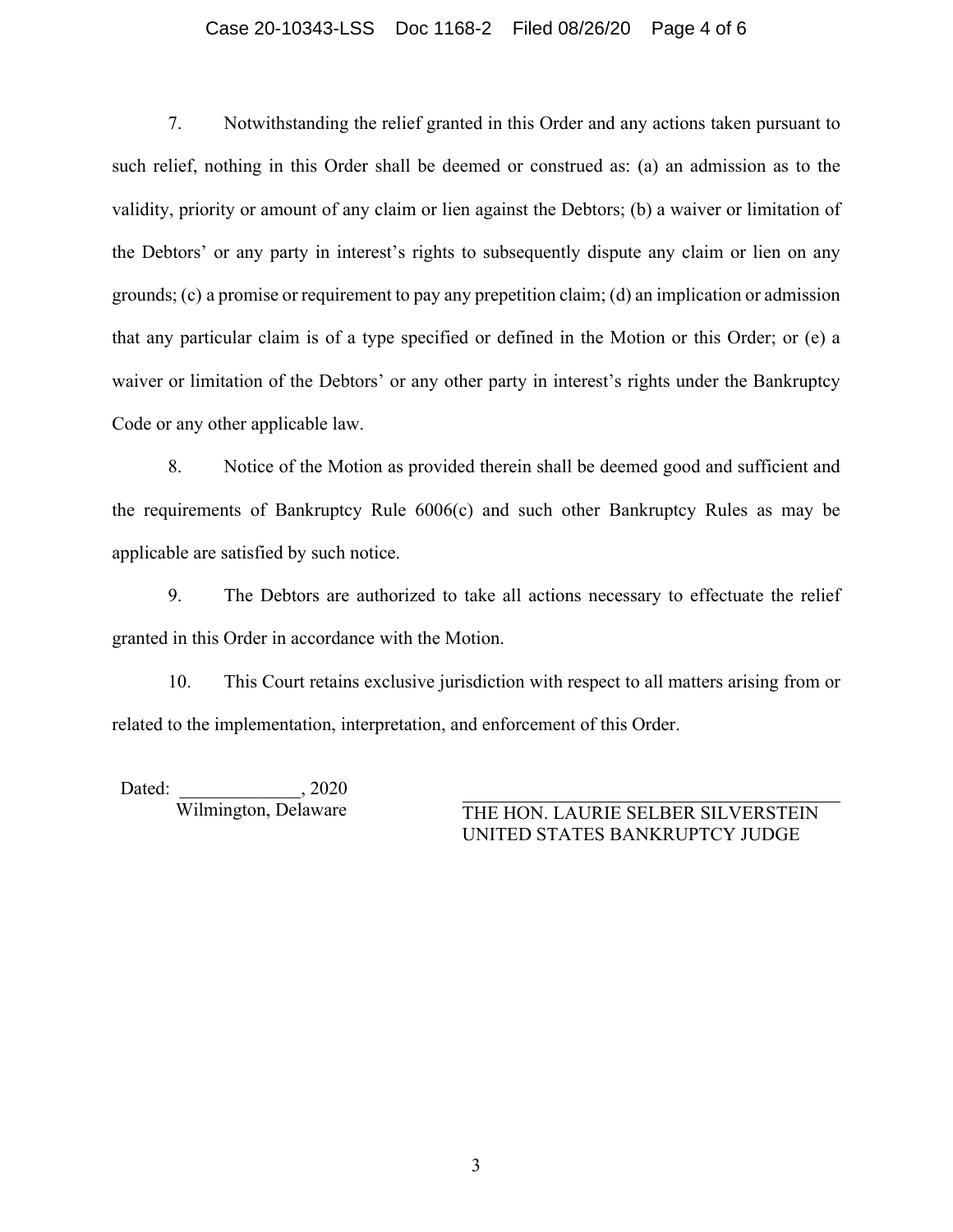#### Case 20-10343-LSS Doc 1168-2 Filed 08/26/20 Page 4 of 6

7. Notwithstanding the relief granted in this Order and any actions taken pursuant to such relief, nothing in this Order shall be deemed or construed as: (a) an admission as to the validity, priority or amount of any claim or lien against the Debtors; (b) a waiver or limitation of the Debtors' or any party in interest's rights to subsequently dispute any claim or lien on any grounds; (c) a promise or requirement to pay any prepetition claim; (d) an implication or admission that any particular claim is of a type specified or defined in the Motion or this Order; or (e) a waiver or limitation of the Debtors' or any other party in interest's rights under the Bankruptcy Code or any other applicable law.

8. Notice of the Motion as provided therein shall be deemed good and sufficient and the requirements of Bankruptcy Rule 6006(c) and such other Bankruptcy Rules as may be applicable are satisfied by such notice.

9. The Debtors are authorized to take all actions necessary to effectuate the relief granted in this Order in accordance with the Motion.

10. This Court retains exclusive jurisdiction with respect to all matters arising from or related to the implementation, interpretation, and enforcement of this Order.

Dated: 2020

Wilmington, Delaware THE HON. LAURIE SELBER SILVERSTEIN UNITED STATES BANKRUPTCY JUDGE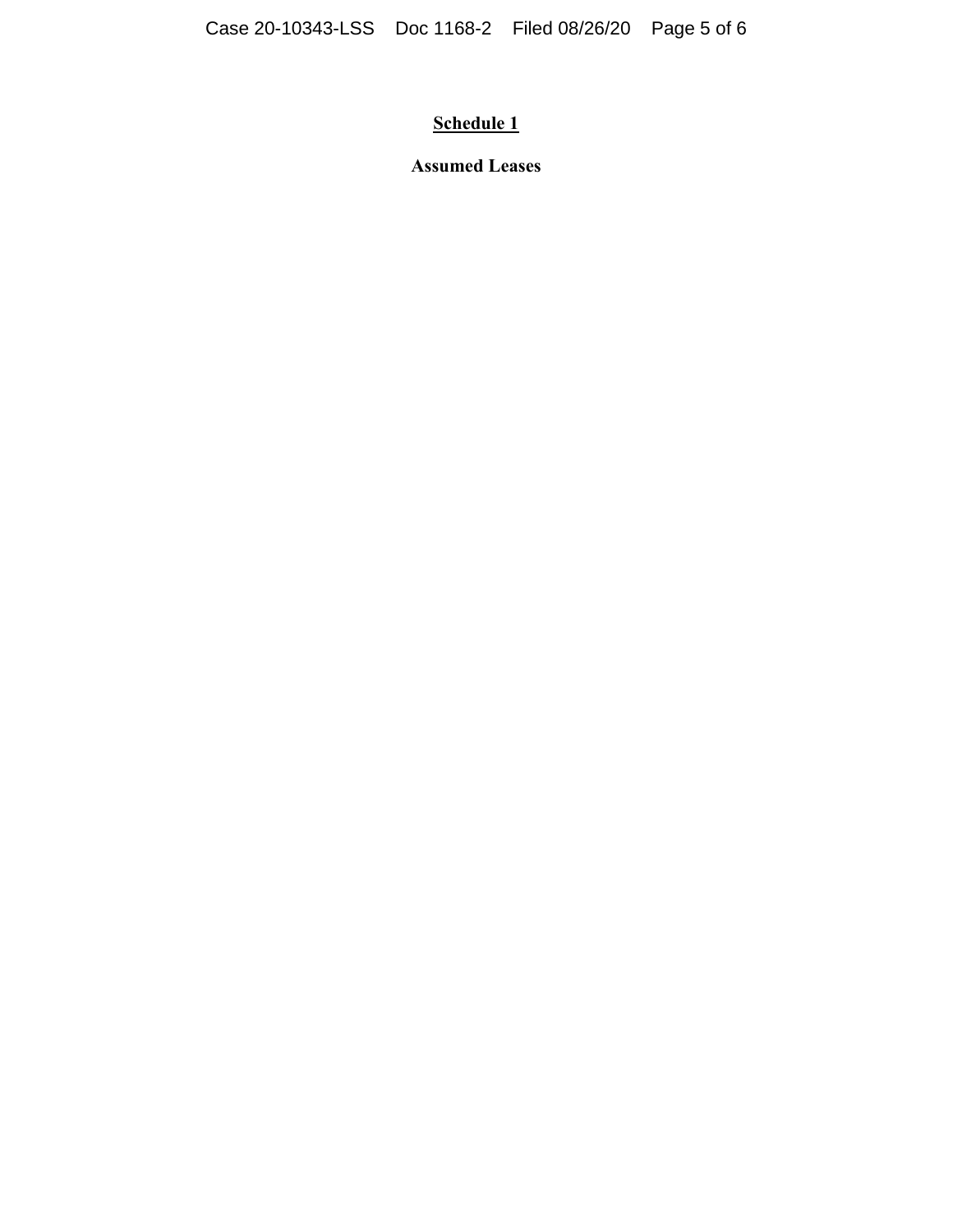# **Schedule 1**

**Assumed Leases**